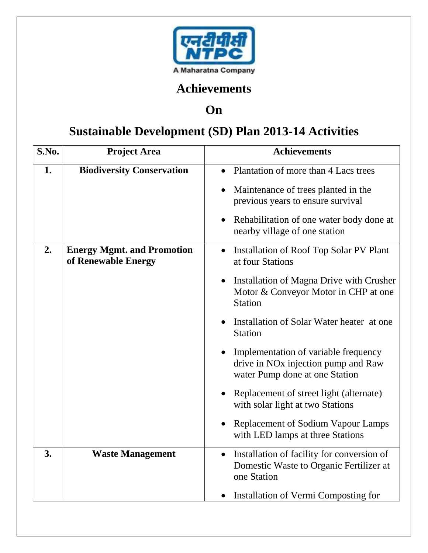

## **Achievements**

## **On**

## **Sustainable Development (SD) Plan 2013-14 Activities**

| S.No. | <b>Project Area</b>                                      | <b>Achievements</b>                                                                                                       |
|-------|----------------------------------------------------------|---------------------------------------------------------------------------------------------------------------------------|
| 1.    | <b>Biodiversity Conservation</b>                         | Plantation of more than 4 Lacs trees                                                                                      |
|       |                                                          | Maintenance of trees planted in the<br>previous years to ensure survival                                                  |
|       |                                                          | Rehabilitation of one water body done at<br>nearby village of one station                                                 |
| 2.    | <b>Energy Mgmt. and Promotion</b><br>of Renewable Energy | <b>Installation of Roof Top Solar PV Plant</b><br>at four Stations                                                        |
|       |                                                          | Installation of Magna Drive with Crusher<br>Motor & Conveyor Motor in CHP at one<br><b>Station</b>                        |
|       |                                                          | Installation of Solar Water heater at one<br><b>Station</b>                                                               |
|       |                                                          | Implementation of variable frequency<br>drive in NO <sub>x</sub> injection pump and Raw<br>water Pump done at one Station |
|       |                                                          | Replacement of street light (alternate)<br>with solar light at two Stations                                               |
|       |                                                          | <b>Replacement of Sodium Vapour Lamps</b><br>with LED lamps at three Stations                                             |
| 3.    | <b>Waste Management</b>                                  | Installation of facility for conversion of<br>$\bullet$<br>Domestic Waste to Organic Fertilizer at<br>one Station         |
|       |                                                          | Installation of Vermi Composting for                                                                                      |